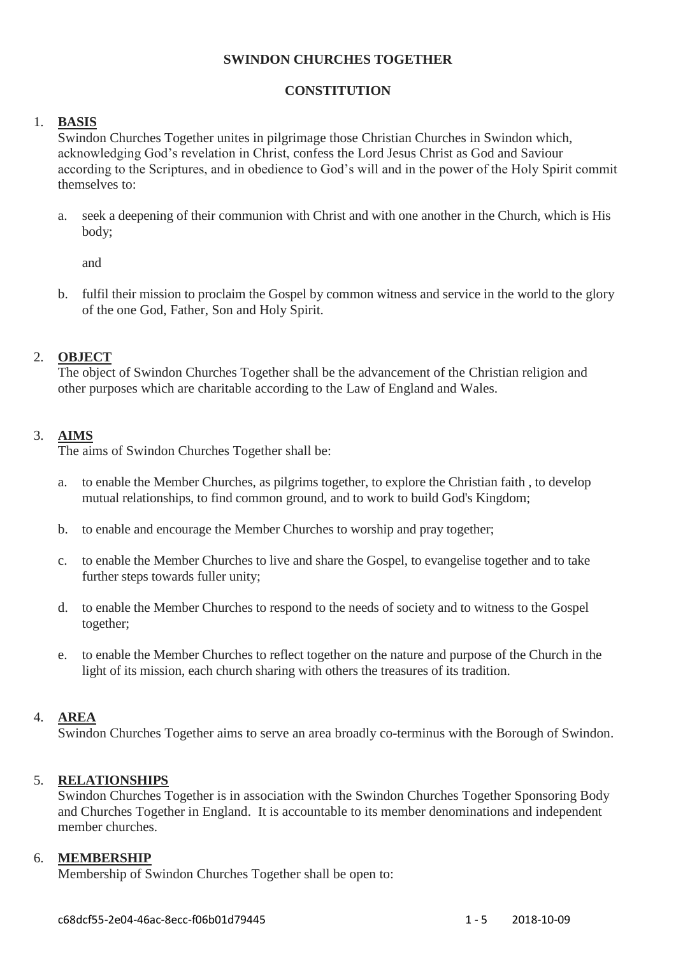#### **SWINDON CHURCHES TOGETHER**

## **CONSTITUTION**

## 1. **BASIS**

Swindon Churches Together unites in pilgrimage those Christian Churches in Swindon which, acknowledging God's revelation in Christ, confess the Lord Jesus Christ as God and Saviour according to the Scriptures, and in obedience to God's will and in the power of the Holy Spirit commit themselves to:

a. seek a deepening of their communion with Christ and with one another in the Church, which is His body;

and

b. fulfil their mission to proclaim the Gospel by common witness and service in the world to the glory of the one God, Father, Son and Holy Spirit.

## 2. **OBJECT**

The object of Swindon Churches Together shall be the advancement of the Christian religion and other purposes which are charitable according to the Law of England and Wales.

## 3. **AIMS**

The aims of Swindon Churches Together shall be:

- a. to enable the Member Churches, as pilgrims together, to explore the Christian faith , to develop mutual relationships, to find common ground, and to work to build God's Kingdom;
- b. to enable and encourage the Member Churches to worship and pray together;
- c. to enable the Member Churches to live and share the Gospel, to evangelise together and to take further steps towards fuller unity;
- d. to enable the Member Churches to respond to the needs of society and to witness to the Gospel together;
- e. to enable the Member Churches to reflect together on the nature and purpose of the Church in the light of its mission, each church sharing with others the treasures of its tradition.

### 4. **AREA**

Swindon Churches Together aims to serve an area broadly co-terminus with the Borough of Swindon.

### 5. **RELATIONSHIPS**

Swindon Churches Together is in association with the Swindon Churches Together Sponsoring Body and Churches Together in England. It is accountable to its member denominations and independent member churches.

### 6. **MEMBERSHIP**

Membership of Swindon Churches Together shall be open to: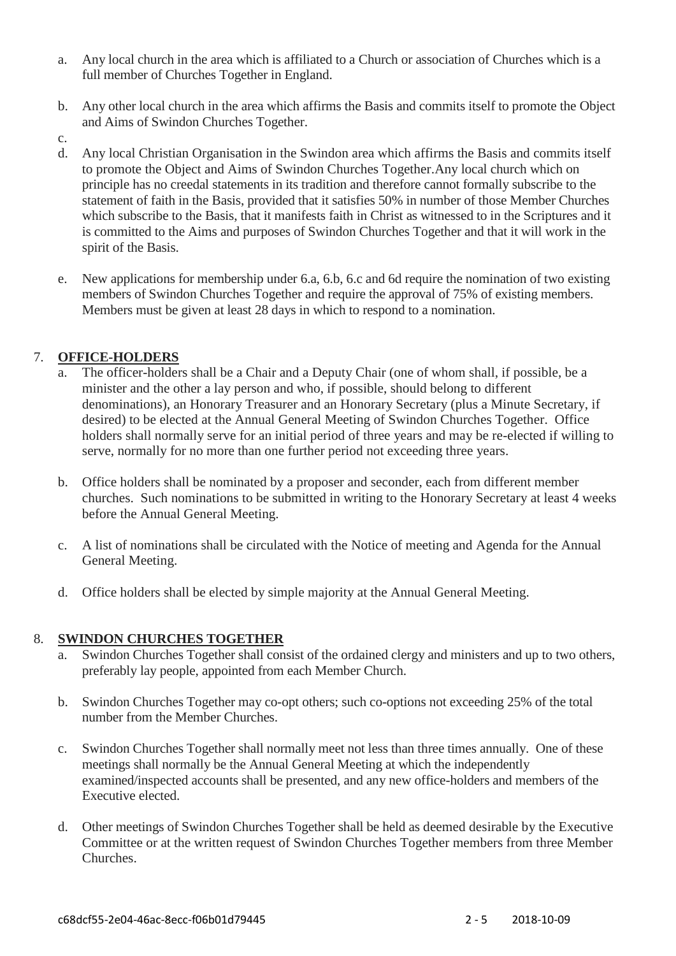- a. Any local church in the area which is affiliated to a Church or association of Churches which is a full member of Churches Together in England.
- b. Any other local church in the area which affirms the Basis and commits itself to promote the Object and Aims of Swindon Churches Together.
- c.
- d. Any local Christian Organisation in the Swindon area which affirms the Basis and commits itself to promote the Object and Aims of Swindon Churches Together.Any local church which on principle has no creedal statements in its tradition and therefore cannot formally subscribe to the statement of faith in the Basis, provided that it satisfies 50% in number of those Member Churches which subscribe to the Basis, that it manifests faith in Christ as witnessed to in the Scriptures and it is committed to the Aims and purposes of Swindon Churches Together and that it will work in the spirit of the Basis.
- e. New applications for membership under 6.a, 6.b, 6.c and 6d require the nomination of two existing members of Swindon Churches Together and require the approval of 75% of existing members. Members must be given at least 28 days in which to respond to a nomination.

# 7. **OFFICE-HOLDERS**

- The officer-holders shall be a Chair and a Deputy Chair (one of whom shall, if possible, be a minister and the other a lay person and who, if possible, should belong to different denominations), an Honorary Treasurer and an Honorary Secretary (plus a Minute Secretary, if desired) to be elected at the Annual General Meeting of Swindon Churches Together. Office holders shall normally serve for an initial period of three years and may be re-elected if willing to serve, normally for no more than one further period not exceeding three years.
- b. Office holders shall be nominated by a proposer and seconder, each from different member churches. Such nominations to be submitted in writing to the Honorary Secretary at least 4 weeks before the Annual General Meeting.
- c. A list of nominations shall be circulated with the Notice of meeting and Agenda for the Annual General Meeting.
- d. Office holders shall be elected by simple majority at the Annual General Meeting.

### 8. **SWINDON CHURCHES TOGETHER**

- Swindon Churches Together shall consist of the ordained clergy and ministers and up to two others, preferably lay people, appointed from each Member Church.
- b. Swindon Churches Together may co-opt others; such co-options not exceeding 25% of the total number from the Member Churches.
- c. Swindon Churches Together shall normally meet not less than three times annually. One of these meetings shall normally be the Annual General Meeting at which the independently examined/inspected accounts shall be presented, and any new office-holders and members of the Executive elected.
- d. Other meetings of Swindon Churches Together shall be held as deemed desirable by the Executive Committee or at the written request of Swindon Churches Together members from three Member Churches.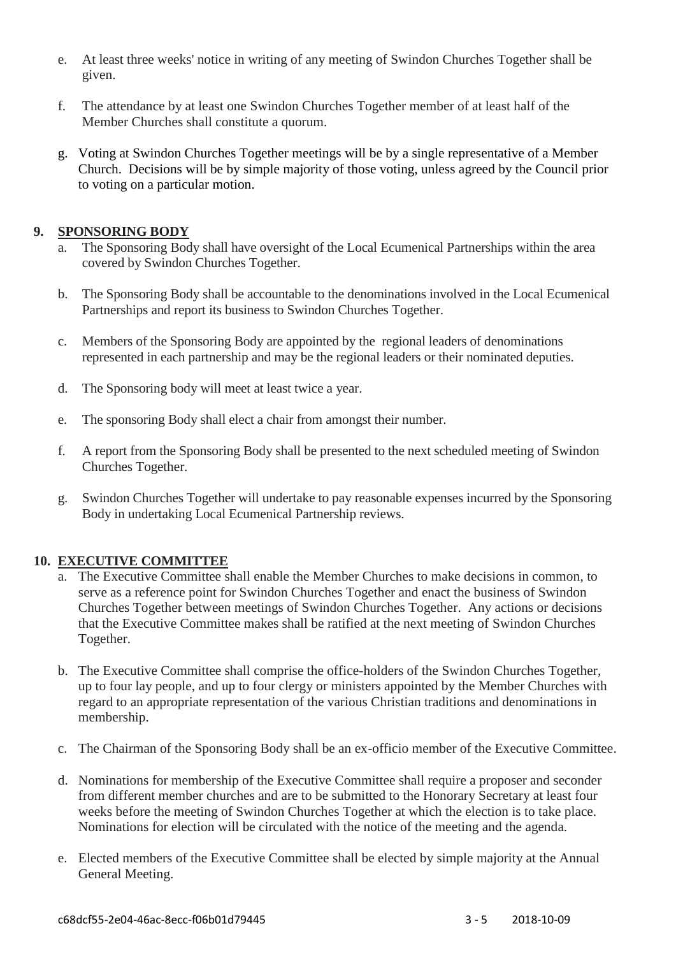- e. At least three weeks' notice in writing of any meeting of Swindon Churches Together shall be given.
- f. The attendance by at least one Swindon Churches Together member of at least half of the Member Churches shall constitute a quorum.
- g. Voting at Swindon Churches Together meetings will be by a single representative of a Member Church. Decisions will be by simple majority of those voting, unless agreed by the Council prior to voting on a particular motion.

### **9. SPONSORING BODY**

- a. The Sponsoring Body shall have oversight of the Local Ecumenical Partnerships within the area covered by Swindon Churches Together.
- b. The Sponsoring Body shall be accountable to the denominations involved in the Local Ecumenical Partnerships and report its business to Swindon Churches Together.
- c. Members of the Sponsoring Body are appointed by the regional leaders of denominations represented in each partnership and may be the regional leaders or their nominated deputies.
- d. The Sponsoring body will meet at least twice a year.
- e. The sponsoring Body shall elect a chair from amongst their number.
- f. A report from the Sponsoring Body shall be presented to the next scheduled meeting of Swindon Churches Together.
- g. Swindon Churches Together will undertake to pay reasonable expenses incurred by the Sponsoring Body in undertaking Local Ecumenical Partnership reviews.

### **10. EXECUTIVE COMMITTEE**

- a. The Executive Committee shall enable the Member Churches to make decisions in common, to serve as a reference point for Swindon Churches Together and enact the business of Swindon Churches Together between meetings of Swindon Churches Together. Any actions or decisions that the Executive Committee makes shall be ratified at the next meeting of Swindon Churches Together.
- b. The Executive Committee shall comprise the office-holders of the Swindon Churches Together, up to four lay people, and up to four clergy or ministers appointed by the Member Churches with regard to an appropriate representation of the various Christian traditions and denominations in membership.
- c. The Chairman of the Sponsoring Body shall be an ex-officio member of the Executive Committee.
- d. Nominations for membership of the Executive Committee shall require a proposer and seconder from different member churches and are to be submitted to the Honorary Secretary at least four weeks before the meeting of Swindon Churches Together at which the election is to take place. Nominations for election will be circulated with the notice of the meeting and the agenda.
- e. Elected members of the Executive Committee shall be elected by simple majority at the Annual General Meeting.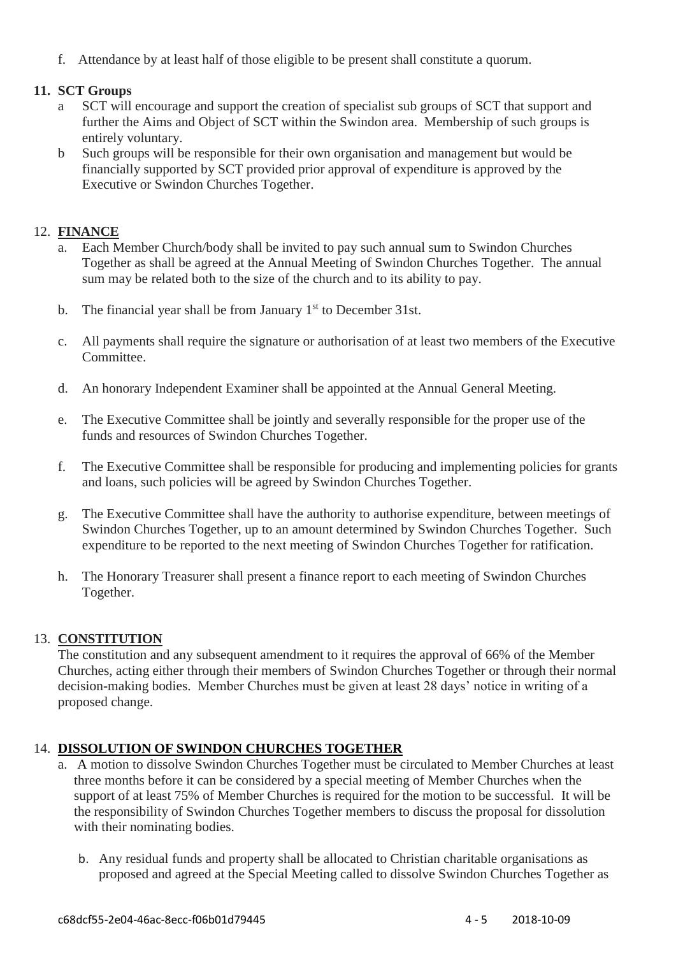f. Attendance by at least half of those eligible to be present shall constitute a quorum.

## **11. SCT Groups**

- a SCT will encourage and support the creation of specialist sub groups of SCT that support and further the Aims and Object of SCT within the Swindon area. Membership of such groups is entirely voluntary.
- b Such groups will be responsible for their own organisation and management but would be financially supported by SCT provided prior approval of expenditure is approved by the Executive or Swindon Churches Together.

## 12. **FINANCE**

- a. Each Member Church/body shall be invited to pay such annual sum to Swindon Churches Together as shall be agreed at the Annual Meeting of Swindon Churches Together. The annual sum may be related both to the size of the church and to its ability to pay.
- b. The financial year shall be from January  $1<sup>st</sup>$  to December 31st.
- c. All payments shall require the signature or authorisation of at least two members of the Executive Committee.
- d. An honorary Independent Examiner shall be appointed at the Annual General Meeting.
- e. The Executive Committee shall be jointly and severally responsible for the proper use of the funds and resources of Swindon Churches Together.
- f. The Executive Committee shall be responsible for producing and implementing policies for grants and loans, such policies will be agreed by Swindon Churches Together.
- g. The Executive Committee shall have the authority to authorise expenditure, between meetings of Swindon Churches Together, up to an amount determined by Swindon Churches Together. Such expenditure to be reported to the next meeting of Swindon Churches Together for ratification.
- h. The Honorary Treasurer shall present a finance report to each meeting of Swindon Churches Together.

### 13. **CONSTITUTION**

The constitution and any subsequent amendment to it requires the approval of 66% of the Member Churches, acting either through their members of Swindon Churches Together or through their normal decision-making bodies. Member Churches must be given at least 28 days' notice in writing of a proposed change.

### 14. **DISSOLUTION OF SWINDON CHURCHES TOGETHER**

- a. A motion to dissolve Swindon Churches Together must be circulated to Member Churches at least three months before it can be considered by a special meeting of Member Churches when the support of at least 75% of Member Churches is required for the motion to be successful. It will be the responsibility of Swindon Churches Together members to discuss the proposal for dissolution with their nominating bodies.
	- b. Any residual funds and property shall be allocated to Christian charitable organisations as proposed and agreed at the Special Meeting called to dissolve Swindon Churches Together as